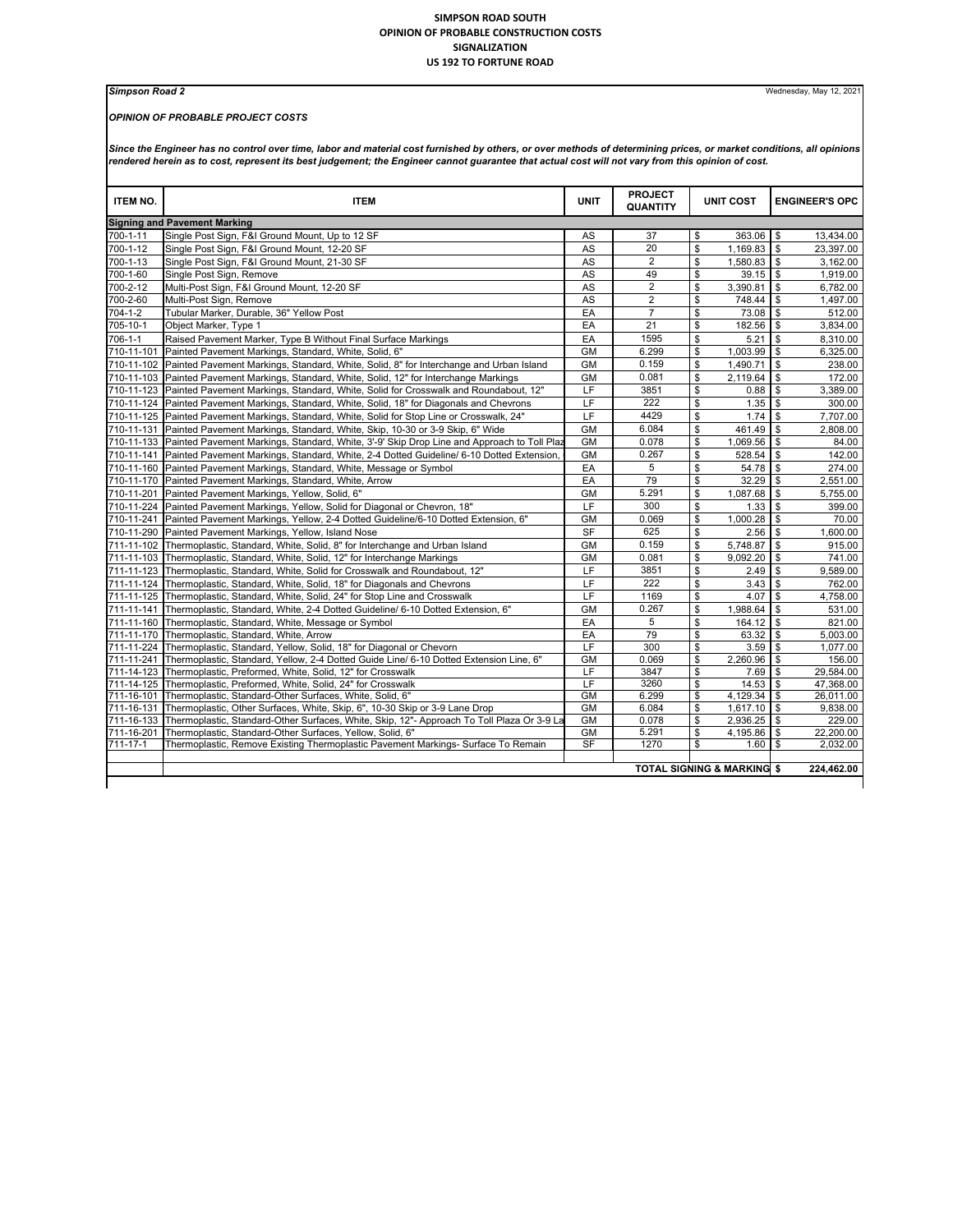## **SIMPSON ROAD SOUTH OPINION OF PROBABLE CONSTRUCTION COSTS SIGNALIZATION US 192 TO FORTUNE ROAD**

## *OPINION OF PROBABLE PROJECT COSTS*

**Simpson Road 2** Wednesday, May 12, 2021

Since the Engineer has no control over time, labor and material cost furnished by others, or over methods of determining prices, or market conditions, all opinions<br>rendered herein as to cost, represent its best judgement;

| 700-1-11<br>700-1-12<br>700-1-13<br>700-1-60<br>700-2-12<br>700-2-60 | <b>Signing and Pavement Marking</b><br>Single Post Sign, F&I Ground Mount, Up to 12 SF<br>Single Post Sign, F&I Ground Mount, 12-20 SF<br>Single Post Sign, F&I Ground Mount, 21-30 SF<br>Single Post Sign, Remove<br>Multi-Post Sign, F&I Ground Mount, 12-20 SF<br>Multi-Post Sign, Remove<br>Tubular Marker, Durable, 36" Yellow Post<br>Object Marker, Type 1 | AS<br>AS<br><b>AS</b><br>AS<br><b>AS</b><br><b>AS</b> | 37<br>20<br>$\overline{2}$<br>49<br>$\overline{2}$ | \$<br>\$<br>\$<br>\$     | 363.06<br>1,169.83<br>1.580.83 \$<br>39.15 | $\mathbf{s}$<br>$\mathbf{s}$ | 13,434.00<br>23,397.00 |  |  |
|----------------------------------------------------------------------|-------------------------------------------------------------------------------------------------------------------------------------------------------------------------------------------------------------------------------------------------------------------------------------------------------------------------------------------------------------------|-------------------------------------------------------|----------------------------------------------------|--------------------------|--------------------------------------------|------------------------------|------------------------|--|--|
|                                                                      |                                                                                                                                                                                                                                                                                                                                                                   |                                                       |                                                    |                          |                                            |                              |                        |  |  |
|                                                                      |                                                                                                                                                                                                                                                                                                                                                                   |                                                       |                                                    |                          |                                            |                              |                        |  |  |
|                                                                      |                                                                                                                                                                                                                                                                                                                                                                   |                                                       |                                                    |                          |                                            |                              |                        |  |  |
|                                                                      |                                                                                                                                                                                                                                                                                                                                                                   |                                                       |                                                    |                          |                                            |                              | 3,162.00               |  |  |
|                                                                      |                                                                                                                                                                                                                                                                                                                                                                   |                                                       |                                                    |                          |                                            | \$                           | 1,919.00               |  |  |
|                                                                      |                                                                                                                                                                                                                                                                                                                                                                   |                                                       |                                                    | \$                       | 3.390.81                                   | \$                           | 6.782.00               |  |  |
|                                                                      |                                                                                                                                                                                                                                                                                                                                                                   |                                                       | $\overline{2}$                                     | \$                       | 748.44                                     | \$                           | 1.497.00               |  |  |
| 704-1-2                                                              |                                                                                                                                                                                                                                                                                                                                                                   | EA                                                    | $\overline{7}$                                     | \$                       | 73.08                                      | <b>S</b>                     | 512.00                 |  |  |
| 705-10-1                                                             |                                                                                                                                                                                                                                                                                                                                                                   | EA                                                    | 21                                                 | \$                       | 182.56                                     | \$                           | 3,834.00               |  |  |
| 706-1-1                                                              | Raised Pavement Marker, Type B Without Final Surface Markings                                                                                                                                                                                                                                                                                                     | EA                                                    | 1595                                               | \$                       | 5.21                                       | \$                           | 8,310.00               |  |  |
| 710-11-101                                                           | Painted Pavement Markings, Standard, White, Solid, 6"                                                                                                                                                                                                                                                                                                             | <b>GM</b>                                             | 6.299                                              | \$                       | 1,003.99                                   | \$                           | 6,325.00               |  |  |
|                                                                      | 710-11-102 Painted Pavement Markings, Standard, White, Solid, 8" for Interchange and Urban Island                                                                                                                                                                                                                                                                 | <b>GM</b>                                             | 0.159                                              | \$                       | 1,490.71                                   | \$                           | 238.00                 |  |  |
|                                                                      | 710-11-103 Painted Pavement Markings, Standard, White, Solid, 12" for Interchange Markings                                                                                                                                                                                                                                                                        | <b>GM</b>                                             | 0.081                                              | \$                       | 2,119.64                                   | \$                           | 172.00                 |  |  |
|                                                                      | 710-11-123 Painted Pavement Markings, Standard, White, Solid for Crosswalk and Roundabout, 12"                                                                                                                                                                                                                                                                    | LF                                                    | 3851                                               | \$                       | 0.88                                       | $\mathbf{s}$                 | 3,389.00               |  |  |
|                                                                      | 710-11-124 Painted Pavement Markings, Standard, White, Solid, 18" for Diagonals and Chevrons                                                                                                                                                                                                                                                                      | LF                                                    | 222                                                | \$                       | 1.35                                       | $\mathbf{s}$                 | 300.00                 |  |  |
|                                                                      | 710-11-125 Painted Pavement Markings, Standard, White, Solid for Stop Line or Crosswalk, 24"                                                                                                                                                                                                                                                                      | LF                                                    | 4429                                               | \$                       | 1.74                                       | $\mathbf{s}$                 | 7,707.00               |  |  |
| 710-11-131                                                           | Painted Pavement Markings, Standard, White, Skip, 10-30 or 3-9 Skip, 6" Wide                                                                                                                                                                                                                                                                                      | <b>GM</b>                                             | 6.084                                              | \$                       | 461.49                                     | \$                           | 2.808.00               |  |  |
|                                                                      | 710-11-133 Painted Pavement Markings, Standard, White, 3'-9' Skip Drop Line and Approach to Toll Pla                                                                                                                                                                                                                                                              | <b>GM</b>                                             | 0.078                                              | \$                       | 1,069.56                                   | \$                           | 84.00                  |  |  |
|                                                                      | 710-11-141 Painted Pavement Markings, Standard, White, 2-4 Dotted Guideline/ 6-10 Dotted Extension,                                                                                                                                                                                                                                                               | <b>GM</b>                                             | 0.267                                              | \$                       | 528.54                                     | \$                           | 142.00                 |  |  |
|                                                                      | 710-11-160 Painted Pavement Markings, Standard, White, Message or Symbol                                                                                                                                                                                                                                                                                          | EA                                                    | 5                                                  | \$                       | 54.78                                      | $\mathbf{s}$                 | 274.00                 |  |  |
|                                                                      | 710-11-170 Painted Pavement Markings, Standard, White, Arrow                                                                                                                                                                                                                                                                                                      | EA                                                    | 79                                                 | \$                       | 32.29                                      | $\mathbf{s}$                 | 2.551.00               |  |  |
| 710-11-201                                                           | Painted Pavement Markings, Yellow, Solid, 6"                                                                                                                                                                                                                                                                                                                      | <b>GM</b>                                             | 5.291                                              | $\mathsf{S}$             | 1,087.68                                   | \$                           | 5,755.00               |  |  |
|                                                                      | 710-11-224 Painted Pavement Markings, Yellow, Solid for Diagonal or Chevron, 18"                                                                                                                                                                                                                                                                                  | LF                                                    | 300                                                | \$                       | 1.33                                       | \$                           | 399.00                 |  |  |
| 710-11-241                                                           | Painted Pavement Markings, Yellow, 2-4 Dotted Guideline/6-10 Dotted Extension, 6"                                                                                                                                                                                                                                                                                 | GM                                                    | 0.069                                              | \$                       | 1.000.28                                   | \$                           | 70.00                  |  |  |
|                                                                      | 710-11-290 Painted Pavement Markings, Yellow, Island Nose                                                                                                                                                                                                                                                                                                         | <b>SF</b>                                             | 625                                                | \$                       | 2.56                                       | $\mathbf{s}$                 | 1,600.00               |  |  |
|                                                                      | 711-11-102 Thermoplastic, Standard, White, Solid, 8" for Interchange and Urban Island                                                                                                                                                                                                                                                                             | <b>GM</b>                                             | 0.159                                              | \$                       | 5,748.87                                   | $\mathbf{s}$                 | 915.00                 |  |  |
|                                                                      |                                                                                                                                                                                                                                                                                                                                                                   |                                                       | 0.081                                              | \$                       |                                            |                              |                        |  |  |
|                                                                      | 711-11-103 Thermoplastic, Standard, White, Solid, 12" for Interchange Markings                                                                                                                                                                                                                                                                                    | GM                                                    | 3851                                               | \$                       | 9,092.20                                   | <b>\$</b>                    | 741.00                 |  |  |
|                                                                      | 711-11-123 Thermoplastic, Standard, White, Solid for Crosswalk and Roundabout, 12"                                                                                                                                                                                                                                                                                | LF<br>LF                                              | 222                                                |                          | 2.49                                       | \$                           | 9,589.00               |  |  |
| 711-11-124                                                           | Thermoplastic, Standard, White, Solid, 18" for Diagonals and Chevrons                                                                                                                                                                                                                                                                                             |                                                       |                                                    | \$                       | 3.43                                       | \$                           | 762.00                 |  |  |
|                                                                      | 711-11-125 Thermoplastic, Standard, White, Solid, 24" for Stop Line and Crosswalk                                                                                                                                                                                                                                                                                 | LF                                                    | 1169                                               | \$                       | 4.07                                       | \$                           | 4,758.00               |  |  |
| 711-11-141                                                           | Thermoplastic, Standard, White, 2-4 Dotted Guideline/ 6-10 Dotted Extension, 6"                                                                                                                                                                                                                                                                                   | GM                                                    | 0.267                                              | \$                       | 1,988.64                                   | \$                           | 531.00                 |  |  |
| 711-11-160                                                           | Thermoplastic, Standard, White, Message or Symbol                                                                                                                                                                                                                                                                                                                 | EA                                                    | 5                                                  | \$                       | $164.12$ \$                                |                              | 821.00                 |  |  |
|                                                                      | 711-11-170 Thermoplastic, Standard, White, Arrow                                                                                                                                                                                                                                                                                                                  | EA                                                    | 79                                                 | \$                       | 63.32                                      | $\mathbf{s}$                 | 5.003.00               |  |  |
| 711-11-224                                                           | Thermoplastic, Standard, Yellow, Solid, 18" for Diagonal or Chevorn                                                                                                                                                                                                                                                                                               | LF                                                    | 300                                                | $\mathsf{\$}$            | 3.59                                       | l \$                         | 1,077.00               |  |  |
| 711-11-241                                                           | Thermoplastic, Standard, Yellow, 2-4 Dotted Guide Line/ 6-10 Dotted Extension Line, 6"                                                                                                                                                                                                                                                                            | <b>GM</b>                                             | 0.069                                              | $\mathsf{S}$             | 2,260.96                                   | l \$                         | 156.00                 |  |  |
| 711-14-123                                                           | Thermoplastic, Preformed, White, Solid, 12" for Crosswalk                                                                                                                                                                                                                                                                                                         | LF                                                    | 3847                                               | \$                       | 7.69                                       | <b>S</b>                     | 29,584.00              |  |  |
|                                                                      | 711-14-125 Thermoplastic, Preformed, White, Solid, 24" for Crosswalk                                                                                                                                                                                                                                                                                              | LF                                                    | 3260                                               | $\overline{\mathcal{S}}$ | 14.53                                      | $\mathbf{s}$                 | 47,368.00              |  |  |
| 711-16-101                                                           | Thermoplastic, Standard-Other Surfaces, White, Solid, 6"                                                                                                                                                                                                                                                                                                          | <b>GM</b><br><b>GM</b>                                | 6.299<br>6.084                                     | \$<br>$\mathsf{\$}$      | $4,129.34$ \$                              |                              | 26,011.00              |  |  |
| 711-16-133                                                           | 711-16-131 Thermoplastic, Other Surfaces, White, Skip, 6", 10-30 Skip or 3-9 Lane Drop                                                                                                                                                                                                                                                                            | <b>GM</b>                                             | 0.078                                              |                          | 1,617.10                                   | l \$                         | 9,838.00               |  |  |
| 711-16-201                                                           | Thermoplastic, Standard-Other Surfaces, White, Skip, 12"- Approach To Toll Plaza Or 3-9 La<br>Thermoplastic, Standard-Other Surfaces, Yellow, Solid, 6"                                                                                                                                                                                                           | <b>GM</b>                                             | 5.291                                              | \$<br>\$                 | $2,936.25$ \$<br>4,195.86                  | \$                           | 229.00<br>22,200.00    |  |  |
| 711-17-1                                                             | Thermoplastic, Remove Existing Thermoplastic Pavement Markings- Surface To Remain                                                                                                                                                                                                                                                                                 | <b>SF</b>                                             | 1270                                               | \$                       | 1.60                                       | <b>S</b>                     | 2,032.00               |  |  |
|                                                                      |                                                                                                                                                                                                                                                                                                                                                                   |                                                       |                                                    |                          |                                            |                              |                        |  |  |
|                                                                      |                                                                                                                                                                                                                                                                                                                                                                   |                                                       |                                                    |                          |                                            |                              | 224,462.00             |  |  |
| <b>TOTAL SIGNING &amp; MARKING \$</b>                                |                                                                                                                                                                                                                                                                                                                                                                   |                                                       |                                                    |                          |                                            |                              |                        |  |  |